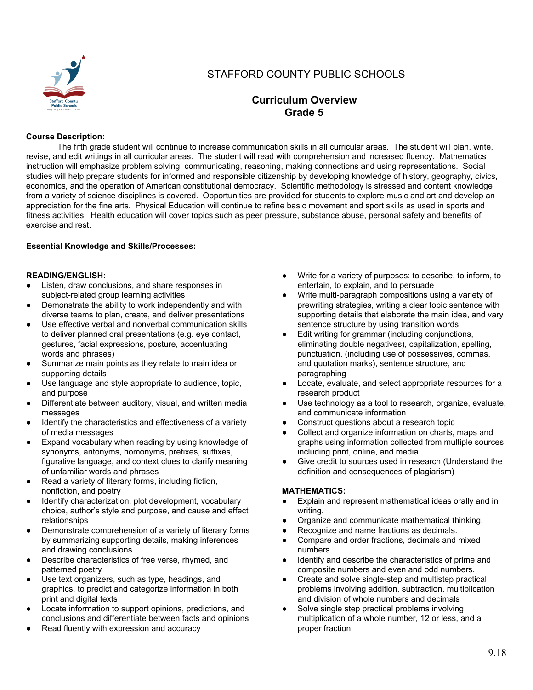

# STAFFORD COUNTY PUBLIC SCHOOLS

# **Curriculum Overview Grade 5**

#### **Course Description:**

The fifth grade student will continue to increase communication skills in all curricular areas. The student will plan, write, revise, and edit writings in all curricular areas. The student will read with comprehension and increased fluency. Mathematics instruction will emphasize problem solving, communicating, reasoning, making connections and using representations. Social studies will help prepare students for informed and responsible citizenship by developing knowledge of history, geography, civics, economics, and the operation of American constitutional democracy. Scientific methodology is stressed and content knowledge from a variety of science disciplines is covered. Opportunities are provided for students to explore music and art and develop an appreciation for the fine arts. Physical Education will continue to refine basic movement and sport skills as used in sports and fitness activities. Health education will cover topics such as peer pressure, substance abuse, personal safety and benefits of exercise and rest.

#### **Essential Knowledge and Skills/Processes:**

#### **READING/ENGLISH:**

- Listen, draw conclusions, and share responses in subject-related group learning activities
- Demonstrate the ability to work independently and with diverse teams to plan, create, and deliver presentations
- Use effective verbal and nonverbal communication skills to deliver planned oral presentations (e.g. eye contact, gestures, facial expressions, posture, accentuating words and phrases)
- Summarize main points as they relate to main idea or supporting details
- Use language and style appropriate to audience, topic, and purpose
- Differentiate between auditory, visual, and written media messages
- Identify the characteristics and effectiveness of a variety of media messages
- Expand vocabulary when reading by using knowledge of synonyms, antonyms, homonyms, prefixes, suffixes, figurative language, and context clues to clarify meaning of unfamiliar words and phrases
- Read a variety of literary forms, including fiction, nonfiction, and poetry
- Identify characterization, plot development, vocabulary choice, author's style and purpose, and cause and effect relationships
- Demonstrate comprehension of a variety of literary forms by summarizing supporting details, making inferences and drawing conclusions
- Describe characteristics of free verse, rhymed, and patterned poetry
- Use text organizers, such as type, headings, and graphics, to predict and categorize information in both print and digital texts
- Locate information to support opinions, predictions, and conclusions and differentiate between facts and opinions
- Read fluently with expression and accuracy
- Write for a variety of purposes: to describe, to inform, to entertain, to explain, and to persuade
- Write multi-paragraph compositions using a variety of prewriting strategies, writing a clear topic sentence with supporting details that elaborate the main idea, and vary sentence structure by using transition words
- Edit writing for grammar (including conjunctions, eliminating double negatives), capitalization, spelling, punctuation, (including use of possessives, commas, and quotation marks), sentence structure, and paragraphing
- Locate, evaluate, and select appropriate resources for a research product
- Use technology as a tool to research, organize, evaluate, and communicate information
- Construct questions about a research topic
- Collect and organize information on charts, maps and graphs using information collected from multiple sources including print, online, and media
- Give credit to sources used in research (Understand the definition and consequences of plagiarism)

#### **MATHEMATICS:**

- Explain and represent mathematical ideas orally and in writing.
- Organize and communicate mathematical thinking.
- Recognize and name fractions as decimals.
- Compare and order fractions, decimals and mixed numbers
- Identify and describe the characteristics of prime and composite numbers and even and odd numbers.
- Create and solve single-step and multistep practical problems involving addition, subtraction, multiplication and division of whole numbers and decimals
- Solve single step practical problems involving multiplication of a whole number, 12 or less, and a proper fraction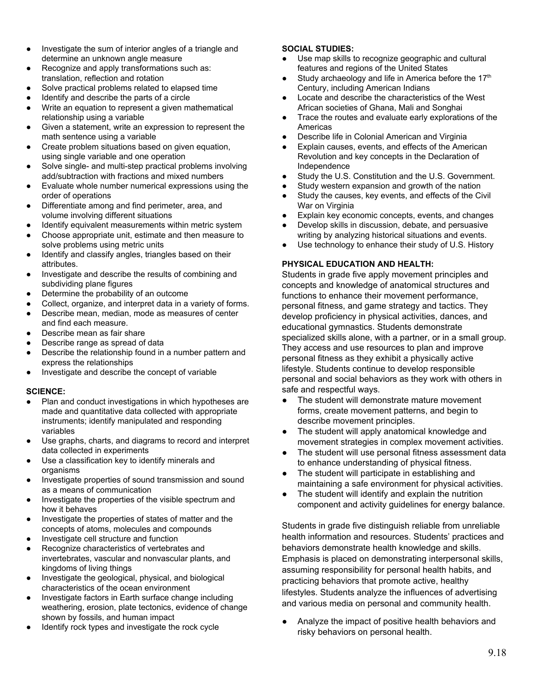- Investigate the sum of interior angles of a triangle and determine an unknown angle measure
- Recognize and apply transformations such as: translation, reflection and rotation
- Solve practical problems related to elapsed time
- Identify and describe the parts of a circle
- Write an equation to represent a given mathematical relationship using a variable
- Given a statement, write an expression to represent the math sentence using a variable
- Create problem situations based on given equation, using single variable and one operation
- Solve single- and multi-step practical problems involving add/subtraction with fractions and mixed numbers
- Evaluate whole number numerical expressions using the order of operations
- Differentiate among and find perimeter, area, and volume involving different situations
- Identify equivalent measurements within metric system
- Choose appropriate unit, estimate and then measure to solve problems using metric units
- Identify and classify angles, triangles based on their attributes.
- Investigate and describe the results of combining and subdividing plane figures
- Determine the probability of an outcome
- Collect, organize, and interpret data in a variety of forms.
- Describe mean, median, mode as measures of center and find each measure.
- Describe mean as fair share
- Describe range as spread of data
- Describe the relationship found in a number pattern and express the relationships
- Investigate and describe the concept of variable

#### **SCIENCE:**

- Plan and conduct investigations in which hypotheses are made and quantitative data collected with appropriate instruments; identify manipulated and responding variables
- Use graphs, charts, and diagrams to record and interpret data collected in experiments
- Use a classification key to identify minerals and organisms
- Investigate properties of sound transmission and sound as a means of communication
- Investigate the properties of the visible spectrum and how it behaves
- Investigate the properties of states of matter and the concepts of atoms, molecules and compounds
- Investigate cell structure and function
- Recognize characteristics of vertebrates and invertebrates, vascular and nonvascular plants, and kingdoms of living things
- Investigate the geological, physical, and biological characteristics of the ocean environment
- Investigate factors in Earth surface change including weathering, erosion, plate tectonics, evidence of change shown by fossils, and human impact
- Identify rock types and investigate the rock cycle

## **SOCIAL STUDIES:**

- Use map skills to recognize geographic and cultural features and regions of the United States
- $\bullet$  Study archaeology and life in America before the 17<sup>th</sup> Century, including American Indians
- Locate and describe the characteristics of the West African societies of Ghana, Mali and Songhai
- Trace the routes and evaluate early explorations of the Americas
- Describe life in Colonial American and Virginia
- Explain causes, events, and effects of the American Revolution and key concepts in the Declaration of Independence
- Study the U.S. Constitution and the U.S. Government.
- Study western expansion and growth of the nation
- Study the causes, key events, and effects of the Civil War on Virginia
- Explain key economic concepts, events, and changes
- Develop skills in discussion, debate, and persuasive writing by analyzing historical situations and events.
- Use technology to enhance their study of U.S. History

## **PHYSICAL EDUCATION AND HEALTH:**

Students in grade five apply movement principles and concepts and knowledge of anatomical structures and functions to enhance their movement performance, personal fitness, and game strategy and tactics. They develop proficiency in physical activities, dances, and educational gymnastics. Students demonstrate specialized skills alone, with a partner, or in a small group. They access and use resources to plan and improve personal fitness as they exhibit a physically active lifestyle. Students continue to develop responsible personal and social behaviors as they work with others in safe and respectful ways.

- The student will demonstrate mature movement forms, create movement patterns, and begin to describe movement principles.
- The student will apply anatomical knowledge and movement strategies in complex movement activities.
- The student will use personal fitness assessment data to enhance understanding of physical fitness.
- The student will participate in establishing and maintaining a safe environment for physical activities.
- The student will identify and explain the nutrition component and activity guidelines for energy balance.

Students in grade five distinguish reliable from unreliable health information and resources. Students' practices and behaviors demonstrate health knowledge and skills. Emphasis is placed on demonstrating interpersonal skills, assuming responsibility for personal health habits, and practicing behaviors that promote active, healthy lifestyles. Students analyze the influences of advertising and various media on personal and community health.

Analyze the impact of positive health behaviors and risky behaviors on personal health.